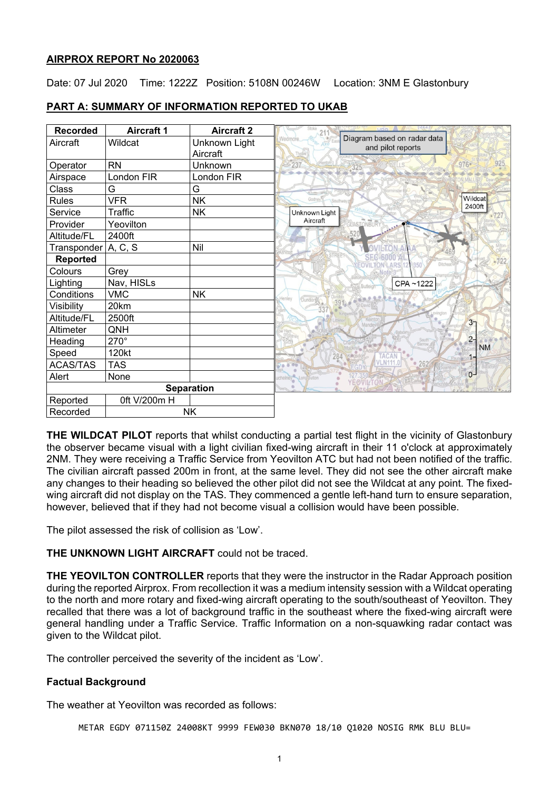### **AIRPROX REPORT No 2020063**

Date: 07 Jul 2020 Time: 1222Z Position: 5108N 00246W Location: 3NM E Glastonbury

| <b>Recorded</b>   | <b>Aircraft 1</b> | <b>Aircraft 2</b> |                                                              |                    |
|-------------------|-------------------|-------------------|--------------------------------------------------------------|--------------------|
| Aircraft          | Wildcat           | Unknown Light     | Diagram based on radar data<br>Vedmore.<br>and pilot reports |                    |
|                   |                   | Aircraft          |                                                              |                    |
| Operator          | <b>RN</b>         | Unknown           | 237                                                          | $976 -$<br>925     |
| Airspace          | London FIR        | London FIR        |                                                              |                    |
| Class             | G                 | G                 |                                                              |                    |
| <b>Rules</b>      | <b>VFR</b>        | <b>NK</b>         | Godney<br>Southway                                           | Wildcat<br>2400ft  |
| Service           | Traffic           | <b>NK</b>         | Unknown Light                                                |                    |
| Provider          | Yeovilton         |                   | Aircraft<br><b>ASTONBURY</b>                                 |                    |
| Altitude/FL       | 2400ft            |                   |                                                              |                    |
| Transponder       | A, C, S           | Nil               |                                                              |                    |
| <b>Reported</b>   |                   |                   |                                                              |                    |
| Colours           | Grey              |                   |                                                              |                    |
| Lighting          | Nav, HISLs        |                   | CPA~1222                                                     |                    |
| Conditions        | <b>VMC</b>        | <b>NK</b>         | Dunden<br>enley                                              |                    |
| Visibility        | 20km              |                   |                                                              |                    |
| Altitude/FL       | 2500ft            |                   |                                                              | 3 <sub>7</sub>     |
| Altimeter         | QNH               |                   |                                                              |                    |
| Heading           | 270°              |                   | South<br><b>Barrow</b>                                       | $2 -$<br><b>NM</b> |
| Speed             | 120kt             |                   | 284                                                          |                    |
| <b>ACAS/TAS</b>   | <b>TAS</b>        |                   | 262                                                          |                    |
| Alert             | None              |                   | YEOVILTON                                                    | $0-1$              |
| <b>Separation</b> |                   |                   |                                                              |                    |
| Reported          | 0ft V/200m H      |                   |                                                              |                    |
| Recorded          | <b>NK</b>         |                   |                                                              |                    |

# **PART A: SUMMARY OF INFORMATION REPORTED TO UKAB**

**THE WILDCAT PILOT** reports that whilst conducting a partial test flight in the vicinity of Glastonbury the observer became visual with a light civilian fixed-wing aircraft in their 11 o'clock at approximately 2NM. They were receiving a Traffic Service from Yeovilton ATC but had not been notified of the traffic. The civilian aircraft passed 200m in front, at the same level. They did not see the other aircraft make any changes to their heading so believed the other pilot did not see the Wildcat at any point. The fixedwing aircraft did not display on the TAS. They commenced a gentle left-hand turn to ensure separation, however, believed that if they had not become visual a collision would have been possible.

The pilot assessed the risk of collision as 'Low'.

# **THE UNKNOWN LIGHT AIRCRAFT** could not be traced.

**THE YEOVILTON CONTROLLER** reports that they were the instructor in the Radar Approach position during the reported Airprox. From recollection it was a medium intensity session with a Wildcat operating to the north and more rotary and fixed-wing aircraft operating to the south/southeast of Yeovilton. They recalled that there was a lot of background traffic in the southeast where the fixed-wing aircraft were general handling under a Traffic Service. Traffic Information on a non-squawking radar contact was given to the Wildcat pilot.

The controller perceived the severity of the incident as 'Low'.

# **Factual Background**

The weather at Yeovilton was recorded as follows:

METAR EGDY 071150Z 24008KT 9999 FEW030 BKN070 18/10 Q1020 NOSIG RMK BLU BLU=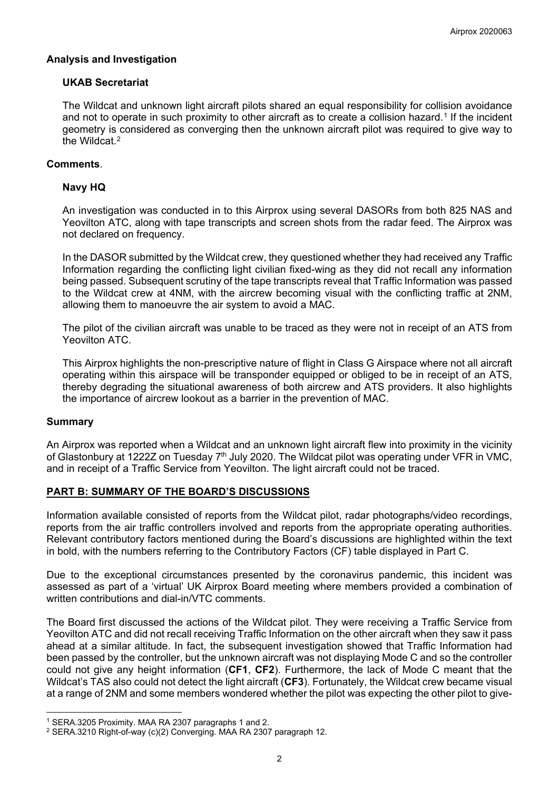## **Analysis and Investigation**

### **UKAB Secretariat**

The Wildcat and unknown light aircraft pilots shared an equal responsibility for collision avoidance and not to operate in such proximity to other aircraft as to create a collision hazard.<sup>[1](#page-1-0)</sup> If the incident geometry is considered as converging then the unknown aircraft pilot was required to give way to the Wildcat $2$ 

### **Comments**.

## **Navy HQ**

An investigation was conducted in to this Airprox using several DASORs from both 825 NAS and Yeovilton ATC, along with tape transcripts and screen shots from the radar feed. The Airprox was not declared on frequency.

In the DASOR submitted by the Wildcat crew, they questioned whether they had received any Traffic Information regarding the conflicting light civilian fixed-wing as they did not recall any information being passed. Subsequent scrutiny of the tape transcripts reveal that Traffic Information was passed to the Wildcat crew at 4NM, with the aircrew becoming visual with the conflicting traffic at 2NM, allowing them to manoeuvre the air system to avoid a MAC.

The pilot of the civilian aircraft was unable to be traced as they were not in receipt of an ATS from Yeovilton ATC.

This Airprox highlights the non-prescriptive nature of flight in Class G Airspace where not all aircraft operating within this airspace will be transponder equipped or obliged to be in receipt of an ATS, thereby degrading the situational awareness of both aircrew and ATS providers. It also highlights the importance of aircrew lookout as a barrier in the prevention of MAC.

#### **Summary**

An Airprox was reported when a Wildcat and an unknown light aircraft flew into proximity in the vicinity of Glastonbury at 1222Z on Tuesday 7<sup>th</sup> July 2020. The Wildcat pilot was operating under VFR in VMC, and in receipt of a Traffic Service from Yeovilton. The light aircraft could not be traced.

# **PART B: SUMMARY OF THE BOARD'S DISCUSSIONS**

Information available consisted of reports from the Wildcat pilot, radar photographs/video recordings, reports from the air traffic controllers involved and reports from the appropriate operating authorities. Relevant contributory factors mentioned during the Board's discussions are highlighted within the text in bold, with the numbers referring to the Contributory Factors (CF) table displayed in Part C.

Due to the exceptional circumstances presented by the coronavirus pandemic, this incident was assessed as part of a 'virtual' UK Airprox Board meeting where members provided a combination of written contributions and dial-in/VTC comments.

The Board first discussed the actions of the Wildcat pilot. They were receiving a Traffic Service from Yeovilton ATC and did not recall receiving Traffic Information on the other aircraft when they saw it pass ahead at a similar altitude. In fact, the subsequent investigation showed that Traffic Information had been passed by the controller, but the unknown aircraft was not displaying Mode C and so the controller could not give any height information (**CF1**, **CF2**). Furthermore, the lack of Mode C meant that the Wildcat's TAS also could not detect the light aircraft (**CF3**). Fortunately, the Wildcat crew became visual at a range of 2NM and some members wondered whether the pilot was expecting the other pilot to give-

<span id="page-1-0"></span><sup>1</sup> SERA.3205 Proximity. MAA RA 2307 paragraphs 1 and 2.

<span id="page-1-1"></span><sup>2</sup> SERA.3210 Right-of-way (c)(2) Converging. MAA RA 2307 paragraph 12.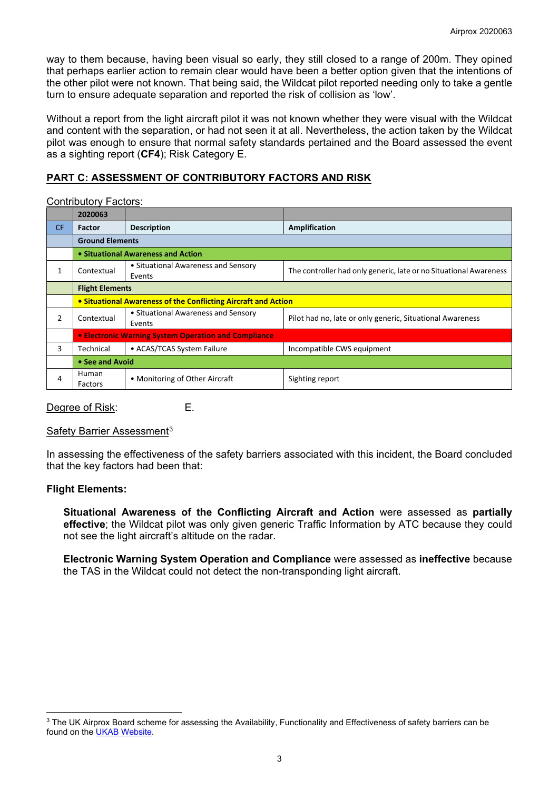way to them because, having been visual so early, they still closed to a range of 200m. They opined that perhaps earlier action to remain clear would have been a better option given that the intentions of the other pilot were not known. That being said, the Wildcat pilot reported needing only to take a gentle turn to ensure adequate separation and reported the risk of collision as 'low'.

Without a report from the light aircraft pilot it was not known whether they were visual with the Wildcat and content with the separation, or had not seen it at all. Nevertheless, the action taken by the Wildcat pilot was enough to ensure that normal safety standards pertained and the Board assessed the event as a sighting report (**CF4**); Risk Category E.

# **PART C: ASSESSMENT OF CONTRIBUTORY FACTORS AND RISK**

Contributory Factors:

|           | 2020063                                                        |                                               |                                                                   |  |  |  |
|-----------|----------------------------------------------------------------|-----------------------------------------------|-------------------------------------------------------------------|--|--|--|
| <b>CF</b> | Factor                                                         | <b>Description</b>                            | Amplification                                                     |  |  |  |
|           | <b>Ground Elements</b>                                         |                                               |                                                                   |  |  |  |
|           | • Situational Awareness and Action                             |                                               |                                                                   |  |  |  |
| 1         | Contextual                                                     | • Situational Awareness and Sensory<br>Events | The controller had only generic, late or no Situational Awareness |  |  |  |
|           | <b>Flight Elements</b>                                         |                                               |                                                                   |  |  |  |
|           | • Situational Awareness of the Conflicting Aircraft and Action |                                               |                                                                   |  |  |  |
| 2         | Contextual                                                     | • Situational Awareness and Sensory<br>Events | Pilot had no, late or only generic, Situational Awareness         |  |  |  |
|           | • Electronic Warning System Operation and Compliance           |                                               |                                                                   |  |  |  |
| 3         | Technical                                                      | • ACAS/TCAS System Failure                    | Incompatible CWS equipment                                        |  |  |  |
|           | • See and Avoid                                                |                                               |                                                                   |  |  |  |
| 4         | Human<br>Factors                                               | • Monitoring of Other Aircraft                | Sighting report                                                   |  |  |  |

Degree of Risk: E.

# Safety Barrier Assessment<sup>[3](#page-2-0)</sup>

In assessing the effectiveness of the safety barriers associated with this incident, the Board concluded that the key factors had been that:

#### **Flight Elements:**

**Situational Awareness of the Conflicting Aircraft and Action** were assessed as **partially effective**; the Wildcat pilot was only given generic Traffic Information by ATC because they could not see the light aircraft's altitude on the radar.

**Electronic Warning System Operation and Compliance** were assessed as **ineffective** because the TAS in the Wildcat could not detect the non-transponding light aircraft.

<span id="page-2-0"></span><sup>&</sup>lt;sup>3</sup> The UK Airprox Board scheme for assessing the Availability, Functionality and Effectiveness of safety barriers can be found on the [UKAB Website.](http://www.airproxboard.org.uk/Learn-more/Airprox-Barrier-Assessment/)